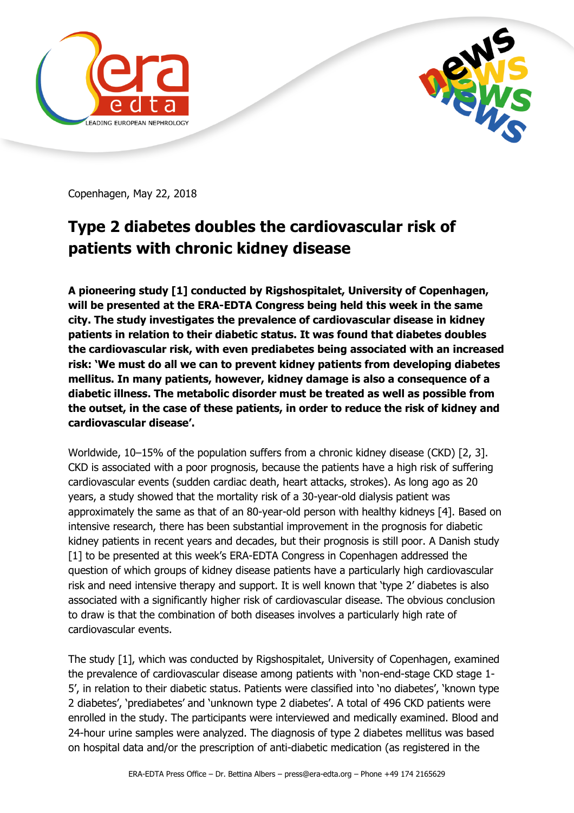



Copenhagen, May 22, 2018

## **Type 2 diabetes doubles the cardiovascular risk of patients with chronic kidney disease**

**A pioneering study [1] conducted by Rigshospitalet, University of Copenhagen, will be presented at the ERA-EDTA Congress being held this week in the same city. The study investigates the prevalence of cardiovascular disease in kidney patients in relation to their diabetic status. It was found that diabetes doubles the cardiovascular risk, with even prediabetes being associated with an increased risk: 'We must do all we can to prevent kidney patients from developing diabetes mellitus. In many patients, however, kidney damage is also a consequence of a diabetic illness. The metabolic disorder must be treated as well as possible from the outset, in the case of these patients, in order to reduce the risk of kidney and cardiovascular disease'.**

Worldwide, 10–15% of the population suffers from a chronic kidney disease (CKD) [2, 3]. CKD is associated with a poor prognosis, because the patients have a high risk of suffering cardiovascular events (sudden cardiac death, heart attacks, strokes). As long ago as 20 years, a study showed that the mortality risk of a 30-year-old dialysis patient was approximately the same as that of an 80-year-old person with healthy kidneys [4]. Based on intensive research, there has been substantial improvement in the prognosis for diabetic kidney patients in recent years and decades, but their prognosis is still poor. A Danish study [1] to be presented at this week's ERA-EDTA Congress in Copenhagen addressed the question of which groups of kidney disease patients have a particularly high cardiovascular risk and need intensive therapy and support. It is well known that 'type 2' diabetes is also associated with a significantly higher risk of cardiovascular disease. The obvious conclusion to draw is that the combination of both diseases involves a particularly high rate of cardiovascular events.

The study [1], which was conducted by Rigshospitalet, University of Copenhagen, examined the prevalence of cardiovascular disease among patients with 'non-end-stage CKD stage 1- 5', in relation to their diabetic status. Patients were classified into 'no diabetes', 'known type 2 diabetes', 'prediabetes' and 'unknown type 2 diabetes'. A total of 496 CKD patients were enrolled in the study. The participants were interviewed and medically examined. Blood and 24-hour urine samples were analyzed. The diagnosis of type 2 diabetes mellitus was based on hospital data and/or the prescription of anti-diabetic medication (as registered in the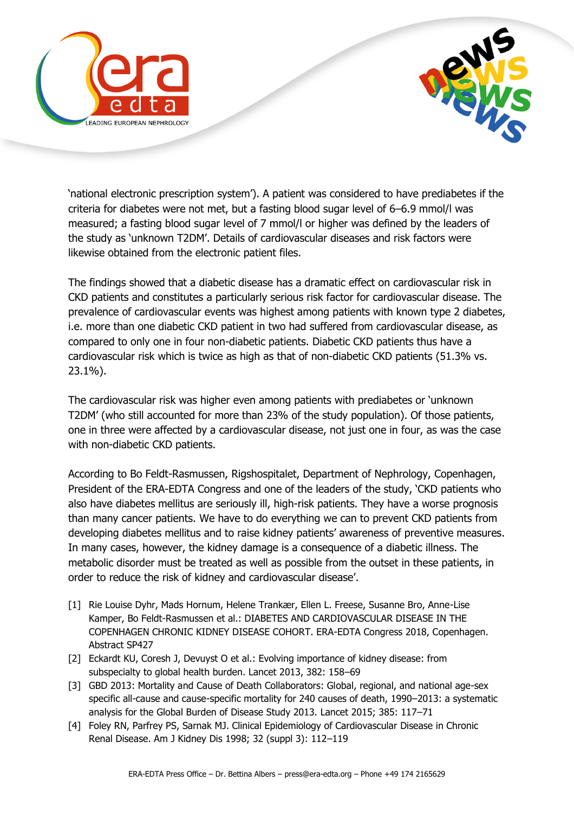



'national electronic prescription system'). A patient was considered to have prediabetes if the criteria for diabetes were not met, but a fasting blood sugar level of 6–6.9 mmol/l was measured; a fasting blood sugar level of 7 mmol/l or higher was defined by the leaders of the study as 'unknown T2DM'. Details of cardiovascular diseases and risk factors were likewise obtained from the electronic patient files.

The findings showed that a diabetic disease has a dramatic effect on cardiovascular risk in CKD patients and constitutes a particularly serious risk factor for cardiovascular disease. The prevalence of cardiovascular events was highest among patients with known type 2 diabetes, i.e. more than one diabetic CKD patient in two had suffered from cardiovascular disease, as compared to only one in four non-diabetic patients. Diabetic CKD patients thus have a cardiovascular risk which is twice as high as that of non-diabetic CKD patients (51.3% vs. 23.1%).

The cardiovascular risk was higher even among patients with prediabetes or 'unknown T2DM' (who still accounted for more than 23% of the study population). Of those patients, one in three were affected by a cardiovascular disease, not just one in four, as was the case with non-diabetic CKD patients.

According to Bo Feldt-Rasmussen, Rigshospitalet, Department of Nephrology, Copenhagen, President of the ERA-EDTA Congress and one of the leaders of the study, 'CKD patients who also have diabetes mellitus are seriously ill, high-risk patients. They have a worse prognosis than many cancer patients. We have to do everything we can to prevent CKD patients from developing diabetes mellitus and to raise kidney patients' awareness of preventive measures. In many cases, however, the kidney damage is a consequence of a diabetic illness. The metabolic disorder must be treated as well as possible from the outset in these patients, in order to reduce the risk of kidney and cardiovascular disease'.

- [1] Rie Louise Dyhr, Mads Hornum, Helene Trankær, Ellen L. Freese, Susanne Bro, Anne-Lise Kamper, Bo Feldt-Rasmussen et al.: DIABETES AND CARDIOVASCULAR DISEASE IN THE COPENHAGEN CHRONIC KIDNEY DISEASE COHORT. ERA-EDTA Congress 2018, Copenhagen. Abstract SP427
- [2] Eckardt KU, Coresh J, Devuyst O et al.: Evolving importance of kidney disease: from subspecialty to global health burden. Lancet 2013, 382: 158–69
- [3] GBD 2013: Mortality and Cause of Death Collaborators: Global, regional, and national age-sex specific all-cause and cause-specific mortality for 240 causes of death, 1990–2013: a systematic analysis for the Global Burden of Disease Study 2013. Lancet 2015; 385: 117–71
- [4] Foley RN, Parfrey PS, Sarnak MJ. Clinical Epidemiology of Cardiovascular Disease in Chronic Renal Disease. Am J Kidney Dis 1998; 32 (suppl 3): 112–119